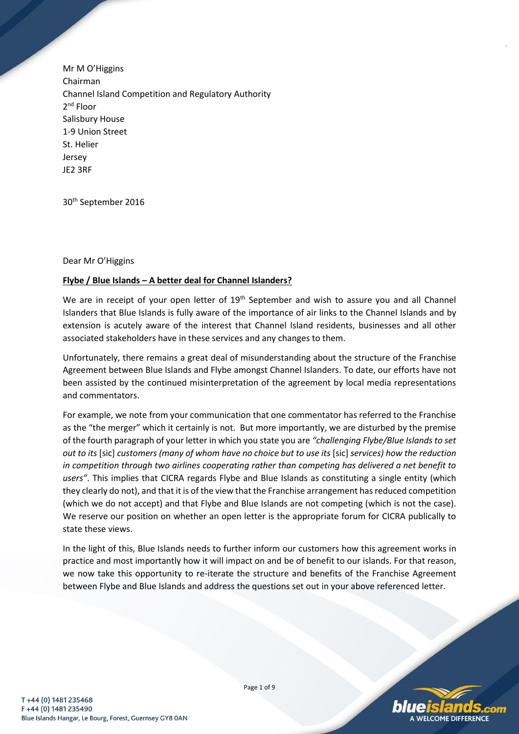Mr M O'Higgins Chairman Channel Island Competition and Regulatory Authority 2<sup>nd</sup> Floor Salisbury House 1-9 Union Street St. Helier Jersey JE2 3RF

30th September 2016

Dear Mr O'Higgins

## **Flybe / Blue Islands – A better deal for Channel Islanders?**

We are in receipt of your open letter of 19<sup>th</sup> September and wish to assure you and all Channel Islanders that Blue Islands is fully aware of the importance of air links to the Channel Islands and by extension is acutely aware of the interest that Channel Island residents, businesses and all other associated stakeholders have in these services and any changes to them.

Unfortunately, there remains a great deal of misunderstanding about the structure of the Franchise Agreement between Blue Islands and Flybe amongst Channel Islanders. To date, our efforts have not been assisted by the continued misinterpretation of the agreement by local media representations and commentators.

For example, we note from your communication that one commentator has referred to the Franchise as the "the merger" which it certainly is not. But more importantly, we are disturbed by the premise of the fourth paragraph of your letter in which you state you are *"challenging Flybe/Blue Islands to set out to its* [sic] *customers (many of whom have no choice but to use its* [sic] *services) how the reduction in competition through two airlines cooperating rather than competing has delivered a net benefit to users"*. This implies that CICRA regards Flybe and Blue Islands as constituting a single entity (which they clearly do not), and that it is of the view that the Franchise arrangement has reduced competition (which we do not accept) and that Flybe and Blue Islands are not competing (which is not the case). We reserve our position on whether an open letter is the appropriate forum for CICRA publically to state these views.

In the light of this, Blue Islands needs to further inform our customers how this agreement works in practice and most importantly how it will impact on and be of benefit to our islands. For that reason, we now take this opportunity to re-iterate the structure and benefits of the Franchise Agreement between Flybe and Blue Islands and address the questions set out in your above referenced letter.

Page 1 of 9

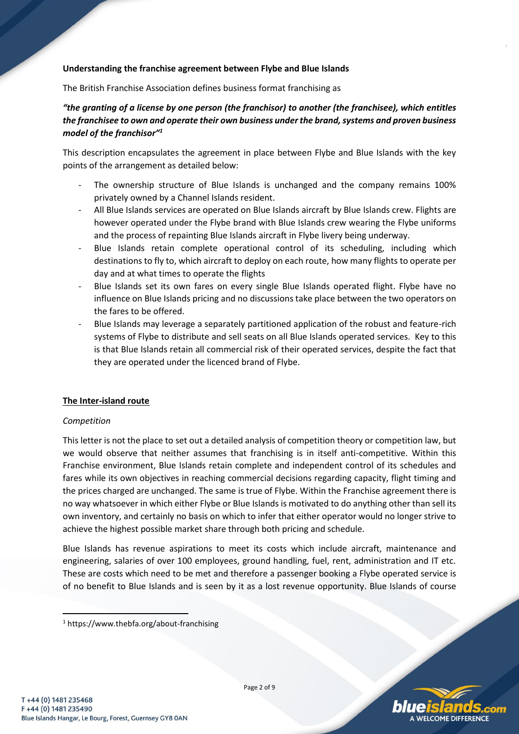## **Understanding the franchise agreement between Flybe and Blue Islands**

The British Franchise Association defines business format franchising as

# *"the granting of a license by one person (the franchisor) to another (the franchisee), which entitles the franchisee to own and operate their own business under the brand, systems and proven business model of the franchisor"<sup>1</sup>*

This description encapsulates the agreement in place between Flybe and Blue Islands with the key points of the arrangement as detailed below:

- The ownership structure of Blue Islands is unchanged and the company remains 100% privately owned by a Channel Islands resident.
- All Blue Islands services are operated on Blue Islands aircraft by Blue Islands crew. Flights are however operated under the Flybe brand with Blue Islands crew wearing the Flybe uniforms and the process of repainting Blue Islands aircraft in Flybe livery being underway.
- Blue Islands retain complete operational control of its scheduling, including which destinations to fly to, which aircraft to deploy on each route, how many flights to operate per day and at what times to operate the flights
- Blue Islands set its own fares on every single Blue Islands operated flight. Flybe have no influence on Blue Islands pricing and no discussions take place between the two operators on the fares to be offered.
- Blue Islands may leverage a separately partitioned application of the robust and feature-rich systems of Flybe to distribute and sell seats on all Blue Islands operated services. Key to this is that Blue Islands retain all commercial risk of their operated services, despite the fact that they are operated under the licenced brand of Flybe.

### **The Inter-island route**

### *Competition*

This letter is not the place to set out a detailed analysis of competition theory or competition law, but we would observe that neither assumes that franchising is in itself anti-competitive. Within this Franchise environment, Blue Islands retain complete and independent control of its schedules and fares while its own objectives in reaching commercial decisions regarding capacity, flight timing and the prices charged are unchanged. The same is true of Flybe. Within the Franchise agreement there is no way whatsoever in which either Flybe or Blue Islands is motivated to do anything other than sell its own inventory, and certainly no basis on which to infer that either operator would no longer strive to achieve the highest possible market share through both pricing and schedule.

Blue Islands has revenue aspirations to meet its costs which include aircraft, maintenance and engineering, salaries of over 100 employees, ground handling, fuel, rent, administration and IT etc. These are costs which need to be met and therefore a passenger booking a Flybe operated service is of no benefit to Blue Islands and is seen by it as a lost revenue opportunity. Blue Islands of course

1



<sup>1</sup> https://www.thebfa.org/about-franchising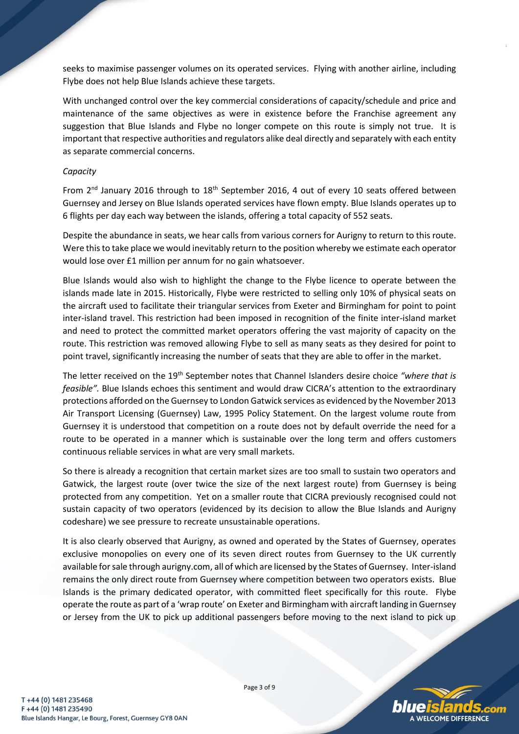seeks to maximise passenger volumes on its operated services. Flying with another airline, including Flybe does not help Blue Islands achieve these targets.

With unchanged control over the key commercial considerations of capacity/schedule and price and maintenance of the same objectives as were in existence before the Franchise agreement any suggestion that Blue Islands and Flybe no longer compete on this route is simply not true. It is important that respective authorities and regulators alike deal directly and separately with each entity as separate commercial concerns.

### *Capacity*

From 2<sup>nd</sup> January 2016 through to 18<sup>th</sup> September 2016, 4 out of every 10 seats offered between Guernsey and Jersey on Blue Islands operated services have flown empty. Blue Islands operates up to 6 flights per day each way between the islands, offering a total capacity of 552 seats.

Despite the abundance in seats, we hear calls from various corners for Aurigny to return to this route. Were this to take place we would inevitably return to the position whereby we estimate each operator would lose over £1 million per annum for no gain whatsoever.

Blue Islands would also wish to highlight the change to the Flybe licence to operate between the islands made late in 2015. Historically, Flybe were restricted to selling only 10% of physical seats on the aircraft used to facilitate their triangular services from Exeter and Birmingham for point to point inter-island travel. This restriction had been imposed in recognition of the finite inter-island market and need to protect the committed market operators offering the vast majority of capacity on the route. This restriction was removed allowing Flybe to sell as many seats as they desired for point to point travel, significantly increasing the number of seats that they are able to offer in the market.

The letter received on the 19th September notes that Channel Islanders desire choice *"where that is feasible".* Blue Islands echoes this sentiment and would draw CICRA's attention to the extraordinary protections afforded on the Guernsey to London Gatwick services as evidenced by the November 2013 Air Transport Licensing (Guernsey) Law, 1995 Policy Statement. On the largest volume route from Guernsey it is understood that competition on a route does not by default override the need for a route to be operated in a manner which is sustainable over the long term and offers customers continuous reliable services in what are very small markets.

So there is already a recognition that certain market sizes are too small to sustain two operators and Gatwick, the largest route (over twice the size of the next largest route) from Guernsey is being protected from any competition. Yet on a smaller route that CICRA previously recognised could not sustain capacity of two operators (evidenced by its decision to allow the Blue Islands and Aurigny codeshare) we see pressure to recreate unsustainable operations.

It is also clearly observed that Aurigny, as owned and operated by the States of Guernsey, operates exclusive monopolies on every one of its seven direct routes from Guernsey to the UK currently available for sale through aurigny.com, all of which are licensed by the States of Guernsey. Inter-island remains the only direct route from Guernsey where competition between two operators exists. Blue Islands is the primary dedicated operator, with committed fleet specifically for this route. Flybe operate the route as part of a 'wrap route' on Exeter and Birmingham with aircraft landing in Guernsey or Jersey from the UK to pick up additional passengers before moving to the next island to pick up

**VELCOME DIFFERENCE**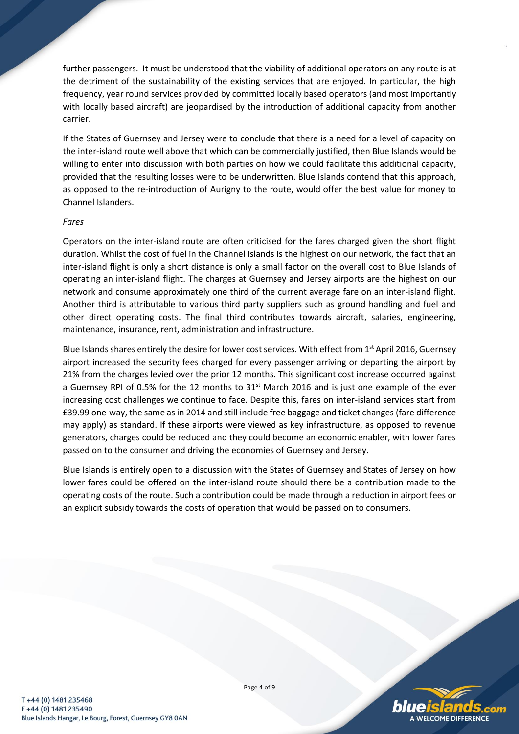further passengers. It must be understood that the viability of additional operators on any route is at the detriment of the sustainability of the existing services that are enjoyed. In particular, the high frequency, year round services provided by committed locally based operators (and most importantly with locally based aircraft) are jeopardised by the introduction of additional capacity from another carrier.

If the States of Guernsey and Jersey were to conclude that there is a need for a level of capacity on the inter-island route well above that which can be commercially justified, then Blue Islands would be willing to enter into discussion with both parties on how we could facilitate this additional capacity, provided that the resulting losses were to be underwritten. Blue Islands contend that this approach, as opposed to the re-introduction of Aurigny to the route, would offer the best value for money to Channel Islanders.

### *Fares*

Operators on the inter-island route are often criticised for the fares charged given the short flight duration. Whilst the cost of fuel in the Channel Islands is the highest on our network, the fact that an inter-island flight is only a short distance is only a small factor on the overall cost to Blue Islands of operating an inter-island flight. The charges at Guernsey and Jersey airports are the highest on our network and consume approximately one third of the current average fare on an inter-island flight. Another third is attributable to various third party suppliers such as ground handling and fuel and other direct operating costs. The final third contributes towards aircraft, salaries, engineering, maintenance, insurance, rent, administration and infrastructure.

Blue Islands shares entirely the desire for lower cost services. With effect from 1<sup>st</sup> April 2016, Guernsey airport increased the security fees charged for every passenger arriving or departing the airport by 21% from the charges levied over the prior 12 months. This significant cost increase occurred against a Guernsey RPI of 0.5% for the 12 months to 31<sup>st</sup> March 2016 and is just one example of the ever increasing cost challenges we continue to face. Despite this, fares on inter-island services start from £39.99 one-way, the same as in 2014 and still include free baggage and ticket changes (fare difference may apply) as standard. If these airports were viewed as key infrastructure, as opposed to revenue generators, charges could be reduced and they could become an economic enabler, with lower fares passed on to the consumer and driving the economies of Guernsey and Jersey.

Blue Islands is entirely open to a discussion with the States of Guernsey and States of Jersey on how lower fares could be offered on the inter-island route should there be a contribution made to the operating costs of the route. Such a contribution could be made through a reduction in airport fees or an explicit subsidy towards the costs of operation that would be passed on to consumers.



Page 4 of 9

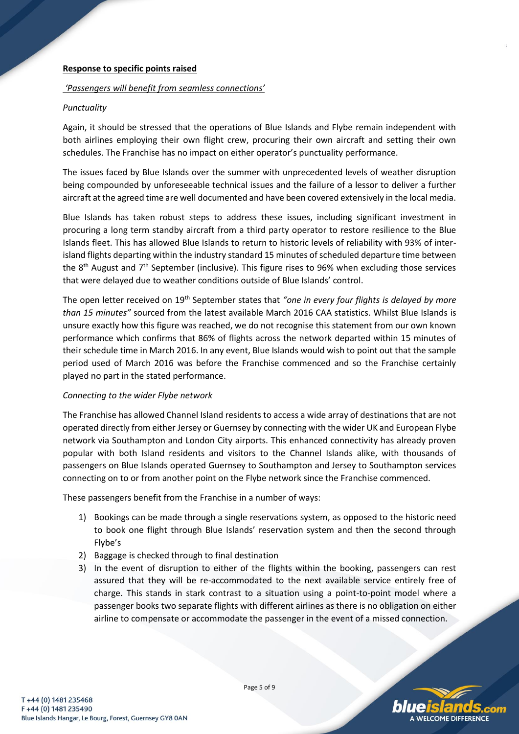### **Response to specific points raised**

### *'Passengers will benefit from seamless connections'*

### *Punctuality*

Again, it should be stressed that the operations of Blue Islands and Flybe remain independent with both airlines employing their own flight crew, procuring their own aircraft and setting their own schedules. The Franchise has no impact on either operator's punctuality performance.

The issues faced by Blue Islands over the summer with unprecedented levels of weather disruption being compounded by unforeseeable technical issues and the failure of a lessor to deliver a further aircraft at the agreed time are well documented and have been covered extensively in the local media.

Blue Islands has taken robust steps to address these issues, including significant investment in procuring a long term standby aircraft from a third party operator to restore resilience to the Blue Islands fleet. This has allowed Blue Islands to return to historic levels of reliability with 93% of interisland flights departing within the industry standard 15 minutes of scheduled departure time between the 8<sup>th</sup> August and 7<sup>th</sup> September (inclusive). This figure rises to 96% when excluding those services that were delayed due to weather conditions outside of Blue Islands' control.

The open letter received on 19th September states that *"one in every four flights is delayed by more than 15 minutes"* sourced from the latest available March 2016 CAA statistics. Whilst Blue Islands is unsure exactly how this figure was reached, we do not recognise this statement from our own known performance which confirms that 86% of flights across the network departed within 15 minutes of their schedule time in March 2016. In any event, Blue Islands would wish to point out that the sample period used of March 2016 was before the Franchise commenced and so the Franchise certainly played no part in the stated performance.

### *Connecting to the wider Flybe network*

The Franchise has allowed Channel Island residents to access a wide array of destinations that are not operated directly from either Jersey or Guernsey by connecting with the wider UK and European Flybe network via Southampton and London City airports. This enhanced connectivity has already proven popular with both Island residents and visitors to the Channel Islands alike, with thousands of passengers on Blue Islands operated Guernsey to Southampton and Jersey to Southampton services connecting on to or from another point on the Flybe network since the Franchise commenced.

These passengers benefit from the Franchise in a number of ways:

- 1) Bookings can be made through a single reservations system, as opposed to the historic need to book one flight through Blue Islands' reservation system and then the second through Flybe's
- 2) Baggage is checked through to final destination
- 3) In the event of disruption to either of the flights within the booking, passengers can rest assured that they will be re-accommodated to the next available service entirely free of charge. This stands in stark contrast to a situation using a point-to-point model where a passenger books two separate flights with different airlines as there is no obligation on either airline to compensate or accommodate the passenger in the event of a missed connection.

Page 5 of 9

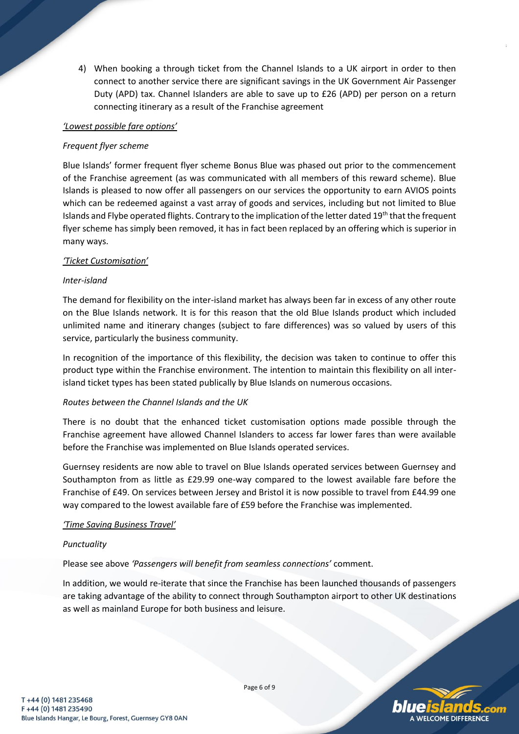4) When booking a through ticket from the Channel Islands to a UK airport in order to then connect to another service there are significant savings in the UK Government Air Passenger Duty (APD) tax. Channel Islanders are able to save up to £26 (APD) per person on a return connecting itinerary as a result of the Franchise agreement

### *'Lowest possible fare options'*

### *Frequent flyer scheme*

Blue Islands' former frequent flyer scheme Bonus Blue was phased out prior to the commencement of the Franchise agreement (as was communicated with all members of this reward scheme). Blue Islands is pleased to now offer all passengers on our services the opportunity to earn AVIOS points which can be redeemed against a vast array of goods and services, including but not limited to Blue Islands and Flybe operated flights. Contrary to the implication of the letter dated 19<sup>th</sup> that the frequent flyer scheme has simply been removed, it has in fact been replaced by an offering which is superior in many ways.

### *'Ticket Customisation'*

## *Inter-island*

The demand for flexibility on the inter-island market has always been far in excess of any other route on the Blue Islands network. It is for this reason that the old Blue Islands product which included unlimited name and itinerary changes (subject to fare differences) was so valued by users of this service, particularly the business community.

In recognition of the importance of this flexibility, the decision was taken to continue to offer this product type within the Franchise environment. The intention to maintain this flexibility on all interisland ticket types has been stated publically by Blue Islands on numerous occasions.

#### *Routes between the Channel Islands and the UK*

There is no doubt that the enhanced ticket customisation options made possible through the Franchise agreement have allowed Channel Islanders to access far lower fares than were available before the Franchise was implemented on Blue Islands operated services.

Guernsey residents are now able to travel on Blue Islands operated services between Guernsey and Southampton from as little as £29.99 one-way compared to the lowest available fare before the Franchise of £49. On services between Jersey and Bristol it is now possible to travel from £44.99 one way compared to the lowest available fare of £59 before the Franchise was implemented.

### *'Time Saving Business Travel'*

#### *Punctuality*

Please see above *'Passengers will benefit from seamless connections'* comment.

In addition, we would re-iterate that since the Franchise has been launched thousands of passengers are taking advantage of the ability to connect through Southampton airport to other UK destinations as well as mainland Europe for both business and leisure.



Page 6 of 9

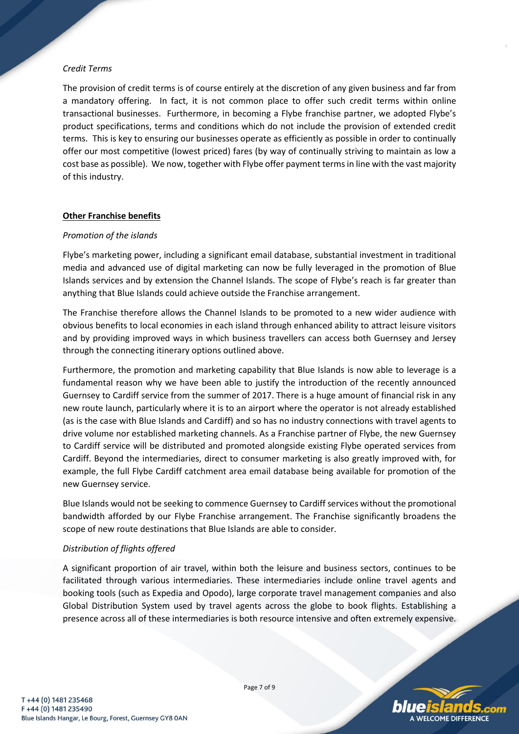## *Credit Terms*

The provision of credit terms is of course entirely at the discretion of any given business and far from a mandatory offering. In fact, it is not common place to offer such credit terms within online transactional businesses. Furthermore, in becoming a Flybe franchise partner, we adopted Flybe's product specifications, terms and conditions which do not include the provision of extended credit terms. This is key to ensuring our businesses operate as efficiently as possible in order to continually offer our most competitive (lowest priced) fares (by way of continually striving to maintain as low a cost base as possible). We now, together with Flybe offer payment terms in line with the vast majority of this industry.

## **Other Franchise benefits**

### *Promotion of the islands*

Flybe's marketing power, including a significant email database, substantial investment in traditional media and advanced use of digital marketing can now be fully leveraged in the promotion of Blue Islands services and by extension the Channel Islands. The scope of Flybe's reach is far greater than anything that Blue Islands could achieve outside the Franchise arrangement.

The Franchise therefore allows the Channel Islands to be promoted to a new wider audience with obvious benefits to local economies in each island through enhanced ability to attract leisure visitors and by providing improved ways in which business travellers can access both Guernsey and Jersey through the connecting itinerary options outlined above.

Furthermore, the promotion and marketing capability that Blue Islands is now able to leverage is a fundamental reason why we have been able to justify the introduction of the recently announced Guernsey to Cardiff service from the summer of 2017. There is a huge amount of financial risk in any new route launch, particularly where it is to an airport where the operator is not already established (as is the case with Blue Islands and Cardiff) and so has no industry connections with travel agents to drive volume nor established marketing channels. As a Franchise partner of Flybe, the new Guernsey to Cardiff service will be distributed and promoted alongside existing Flybe operated services from Cardiff. Beyond the intermediaries, direct to consumer marketing is also greatly improved with, for example, the full Flybe Cardiff catchment area email database being available for promotion of the new Guernsey service.

Blue Islands would not be seeking to commence Guernsey to Cardiff services without the promotional bandwidth afforded by our Flybe Franchise arrangement. The Franchise significantly broadens the scope of new route destinations that Blue Islands are able to consider.

## *Distribution of flights offered*

A significant proportion of air travel, within both the leisure and business sectors, continues to be facilitated through various intermediaries. These intermediaries include online travel agents and booking tools (such as Expedia and Opodo), large corporate travel management companies and also Global Distribution System used by travel agents across the globe to book flights. Establishing a presence across all of these intermediaries is both resource intensive and often extremely expensive.

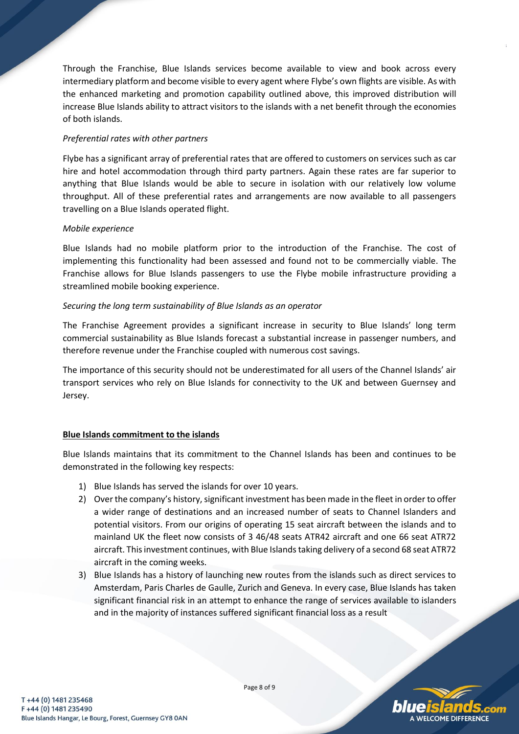Through the Franchise, Blue Islands services become available to view and book across every intermediary platform and become visible to every agent where Flybe's own flights are visible. As with the enhanced marketing and promotion capability outlined above, this improved distribution will increase Blue Islands ability to attract visitors to the islands with a net benefit through the economies of both islands.

## *Preferential rates with other partners*

Flybe has a significant array of preferential rates that are offered to customers on services such as car hire and hotel accommodation through third party partners. Again these rates are far superior to anything that Blue Islands would be able to secure in isolation with our relatively low volume throughput. All of these preferential rates and arrangements are now available to all passengers travelling on a Blue Islands operated flight.

### *Mobile experience*

Blue Islands had no mobile platform prior to the introduction of the Franchise. The cost of implementing this functionality had been assessed and found not to be commercially viable. The Franchise allows for Blue Islands passengers to use the Flybe mobile infrastructure providing a streamlined mobile booking experience.

## *Securing the long term sustainability of Blue Islands as an operator*

The Franchise Agreement provides a significant increase in security to Blue Islands' long term commercial sustainability as Blue Islands forecast a substantial increase in passenger numbers, and therefore revenue under the Franchise coupled with numerous cost savings.

The importance of this security should not be underestimated for all users of the Channel Islands' air transport services who rely on Blue Islands for connectivity to the UK and between Guernsey and Jersey.

## **Blue Islands commitment to the islands**

Blue Islands maintains that its commitment to the Channel Islands has been and continues to be demonstrated in the following key respects:

- 1) Blue Islands has served the islands for over 10 years.
- 2) Over the company's history, significant investment has been made in the fleet in order to offer a wider range of destinations and an increased number of seats to Channel Islanders and potential visitors. From our origins of operating 15 seat aircraft between the islands and to mainland UK the fleet now consists of 3 46/48 seats ATR42 aircraft and one 66 seat ATR72 aircraft. This investment continues, with Blue Islands taking delivery of a second 68 seat ATR72 aircraft in the coming weeks.
- 3) Blue Islands has a history of launching new routes from the islands such as direct services to Amsterdam, Paris Charles de Gaulle, Zurich and Geneva. In every case, Blue Islands has taken significant financial risk in an attempt to enhance the range of services available to islanders and in the majority of instances suffered significant financial loss as a result